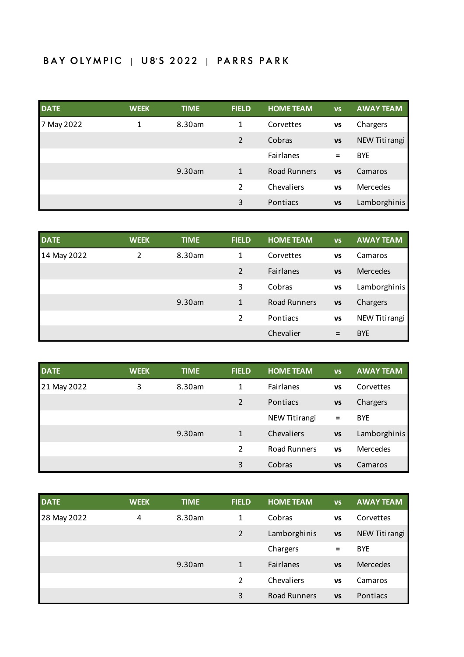## BAY OLYMPIC | U8'S 2022 | PARRS PARK

| <b>DATE</b> | <b>WEEK</b> | <b>TIME</b> | <b>FIELD</b> | <b>HOME TEAM</b>    | <b>VS</b> | <b>AWAY TEAM</b> |
|-------------|-------------|-------------|--------------|---------------------|-----------|------------------|
| 7 May 2022  | 1           | 8.30am      | 1            | Corvettes           | <b>VS</b> | Chargers         |
|             |             |             | 2            | Cobras              | <b>VS</b> | NEW Titirangi    |
|             |             |             |              | Fairlanes           | $=$       | <b>BYE</b>       |
|             |             | 9.30am      | 1            | <b>Road Runners</b> | <b>VS</b> | Camaros          |
|             |             |             | 2            | Chevaliers          | <b>VS</b> | Mercedes         |
|             |             |             | 3            | Pontiacs            | <b>VS</b> | Lamborghinis     |

| <b>DATE</b> | <b>WEEK</b> | <b>TIME</b> | <b>FIELD</b>   | <b>HOME TEAM</b>    | <b>VS</b> | <b>AWAY TEAM</b> |
|-------------|-------------|-------------|----------------|---------------------|-----------|------------------|
| 14 May 2022 | 2           | 8.30am      | 1              | Corvettes           | <b>VS</b> | Camaros          |
|             |             |             | 2              | Fairlanes           | <b>VS</b> | <b>Mercedes</b>  |
|             |             |             | 3              | Cobras              | <b>VS</b> | Lamborghinis     |
|             |             | 9.30am      | 1              | <b>Road Runners</b> | <b>VS</b> | Chargers         |
|             |             |             | $\mathfrak{p}$ | Pontiacs            | <b>VS</b> | NEW Titirangi    |
|             |             |             |                | Chevalier           | $=$       | <b>BYE</b>       |

| <b>DATE</b> | <b>WEEK</b> | <b>TIME</b> | <b>FIELD</b> | <b>HOME TEAM</b>    | <b>VS</b> | <b>AWAY TEAM</b> |
|-------------|-------------|-------------|--------------|---------------------|-----------|------------------|
| 21 May 2022 | 3           | 8.30am      | 1            | Fairlanes           | <b>VS</b> | Corvettes        |
|             |             |             | 2            | Pontiacs            | <b>VS</b> | Chargers         |
|             |             |             |              | NEW Titirangi       | $\equiv$  | <b>BYE</b>       |
|             |             | 9.30am      | $\mathbf{1}$ | Chevaliers          | <b>VS</b> | Lamborghinis     |
|             |             |             | 2            | <b>Road Runners</b> | <b>VS</b> | Mercedes         |
|             |             |             | 3            | Cobras              | <b>VS</b> | Camaros          |

| <b>DATE</b> | <b>WEEK</b> | <b>TIME</b> | <b>FIELD</b>   | <b>HOME TEAM</b>    | <b>VS</b> | <b>AWAY TEAM</b> |
|-------------|-------------|-------------|----------------|---------------------|-----------|------------------|
| 28 May 2022 | 4           | 8.30am      | 1              | Cobras              | <b>VS</b> | Corvettes        |
|             |             |             | $\overline{2}$ | Lamborghinis        | <b>VS</b> | NEW Titirangi    |
|             |             |             |                | Chargers            | Ξ         | <b>BYE</b>       |
|             |             | 9.30am      | $\mathbf{1}$   | Fairlanes           | <b>VS</b> | Mercedes         |
|             |             |             | 2              | Chevaliers          | <b>VS</b> | Camaros          |
|             |             |             | 3              | <b>Road Runners</b> | <b>VS</b> | Pontiacs         |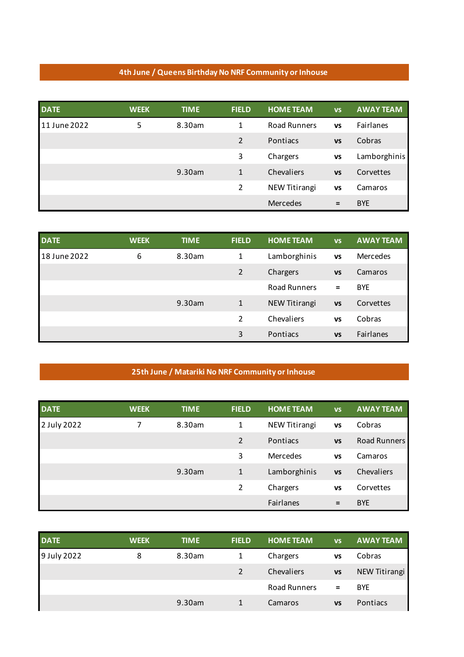## **4th June / Queens Birthday No NRF Community or Inhouse**

| <b>DATE</b>  | <b>WEEK</b> | <b>TIME</b> | <b>FIELD</b>   | <b>HOME TEAM</b> | <b>VS</b> | <b>AWAY TEAM</b> |
|--------------|-------------|-------------|----------------|------------------|-----------|------------------|
| 11 June 2022 | 5           | 8.30am      | 1              | Road Runners     | <b>VS</b> | Fairlanes        |
|              |             |             | $\overline{2}$ | Pontiacs         | <b>VS</b> | Cobras           |
|              |             |             | 3              | Chargers         | <b>VS</b> | Lamborghinis     |
|              |             | 9.30am      | $\mathbf{1}$   | Chevaliers       | <b>VS</b> | Corvettes        |
|              |             |             | $\overline{2}$ | NEW Titirangi    | VS        | Camaros          |
|              |             |             |                | Mercedes         | $=$       | <b>BYE</b>       |

| <b>DATE</b>  | <b>WEEK</b> | <b>TIME</b> | <b>FIELD</b> | <b>HOME TEAM</b>    | <b>VS</b> | <b>AWAY TEAM</b> |
|--------------|-------------|-------------|--------------|---------------------|-----------|------------------|
| 18 June 2022 | 6           | 8.30am      | 1            | Lamborghinis        | <b>VS</b> | Mercedes         |
|              |             |             | 2            | Chargers            | <b>VS</b> | Camaros          |
|              |             |             |              | <b>Road Runners</b> | Ξ         | <b>BYE</b>       |
|              |             | 9.30am      | 1            | NEW Titirangi       | <b>VS</b> | Corvettes        |
|              |             |             | 2            | Chevaliers          | <b>VS</b> | Cobras           |
|              |             |             | 3            | Pontiacs            | <b>VS</b> | <b>Fairlanes</b> |

## **25th June / Matariki No NRF Community or Inhouse**

| <b>DATE</b> | <b>WEEK</b> | <b>TIME</b> | <b>FIELD</b>   | <b>HOME TEAM</b> | <b>VS</b> | <b>AWAY TEAM</b> |
|-------------|-------------|-------------|----------------|------------------|-----------|------------------|
| 2 July 2022 | 7           | 8.30am      | 1              | NEW Titirangi    | <b>VS</b> | Cobras           |
|             |             |             | $\mathcal{P}$  | Pontiacs         | <b>VS</b> | Road Runners     |
|             |             |             | 3              | Mercedes         | <b>VS</b> | Camaros          |
|             |             | 9.30am      | $\mathbf{1}$   | Lamborghinis     | <b>VS</b> | Chevaliers       |
|             |             |             | $\overline{2}$ | Chargers         | <b>VS</b> | Corvettes        |
|             |             |             |                | Fairlanes        | $=$       | <b>BYE</b>       |

| <b>DATE</b> | <b>WEEK</b> | <b>TIME</b> | <b>FIELD</b> | <b>HOME TEAM</b> | VS        | <b>AWAY TEAM</b> |
|-------------|-------------|-------------|--------------|------------------|-----------|------------------|
| 9 July 2022 | 8           | 8.30am      | 1            | Chargers         | VS        | Cobras           |
|             |             |             |              | Chevaliers       | <b>VS</b> | NEW Titirangi    |
|             |             |             |              | Road Runners     | $=$       | <b>BYE</b>       |
|             |             | 9.30am      |              | Camaros          | <b>VS</b> | Pontiacs         |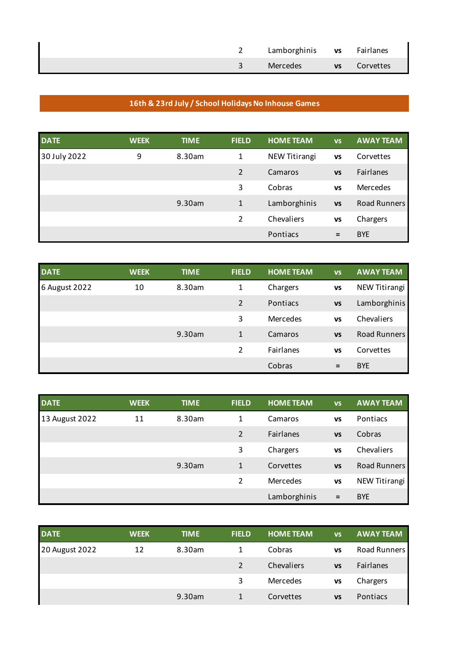|  | Lamborghinis vs Fairlanes |                     |
|--|---------------------------|---------------------|
|  | Mercedes                  | <b>vs</b> Corvettes |

## **16th & 23rd July / School Holidays No Inhouse Games**

| <b>DATE</b>  | <b>WEEK</b> | <b>TIME</b> | <b>FIELD</b> | <b>HOME TEAM</b> | <b>VS</b> | <b>AWAY TEAM</b> |
|--------------|-------------|-------------|--------------|------------------|-----------|------------------|
| 30 July 2022 | 9           | 8.30am      | 1            | NEW Titirangi    | <b>VS</b> | Corvettes        |
|              |             |             | 2            | Camaros          | <b>VS</b> | Fairlanes        |
|              |             |             | 3            | Cobras           | <b>VS</b> | Mercedes         |
|              |             | 9.30am      | $\mathbf{1}$ | Lamborghinis     | <b>VS</b> | Road Runners     |
|              |             |             | 2            | Chevaliers       | <b>VS</b> | Chargers         |
|              |             |             |              | Pontiacs         | $=$       | <b>BYE</b>       |

| <b>DATE</b>   | <b>WEEK</b> | <b>TIME</b> | <b>FIELD</b>   | <b>HOME TEAM</b> | <b>VS</b> | <b>AWAY TEAM</b>    |
|---------------|-------------|-------------|----------------|------------------|-----------|---------------------|
| 6 August 2022 | 10          | 8.30am      | 1              | Chargers         | <b>VS</b> | NEW Titirangi       |
|               |             |             | 2              | Pontiacs         | <b>VS</b> | Lamborghinis        |
|               |             |             | 3              | Mercedes         | <b>VS</b> | Chevaliers          |
|               |             | 9.30am      | $\mathbf{1}$   | Camaros          | <b>VS</b> | <b>Road Runners</b> |
|               |             |             | $\mathfrak{p}$ | Fairlanes        | <b>VS</b> | Corvettes           |
|               |             |             |                | Cobras           | $\equiv$  | <b>BYE</b>          |

| <b>DATE</b>    | <b>WEEK</b> | <b>TIME</b> | <b>FIELD</b> | <b>HOME TEAM</b> | <b>VS</b> | <b>AWAY TEAM</b> |
|----------------|-------------|-------------|--------------|------------------|-----------|------------------|
| 13 August 2022 | 11          | 8.30am      | 1            | Camaros          | VS        | Pontiacs         |
|                |             |             | 2            | Fairlanes        | <b>VS</b> | Cobras           |
|                |             |             | 3            | Chargers         | <b>VS</b> | Chevaliers       |
|                |             | 9.30am      | $\mathbf{1}$ | Corvettes        | <b>VS</b> | Road Runners     |
|                |             |             | 2            | Mercedes         | <b>VS</b> | NEW Titirangi    |
|                |             |             |              | Lamborghinis     | $=$       | <b>BYE</b>       |

| <b>DATE</b>    | <b>WEEK</b> | <b>TIME</b> | <b>FIELD</b>  | <b>HOME TEAM</b> | VS        | <b>AWAY TEAM</b> |
|----------------|-------------|-------------|---------------|------------------|-----------|------------------|
| 20 August 2022 | 12          | 8.30am      |               | Cobras           | VS        | Road Runners     |
|                |             |             | $\mathcal{L}$ | Chevaliers       | <b>VS</b> | Fairlanes        |
|                |             |             | 3             | Mercedes         | VS        | Chargers         |
|                |             | 9.30am      |               | Corvettes        | VS        | Pontiacs         |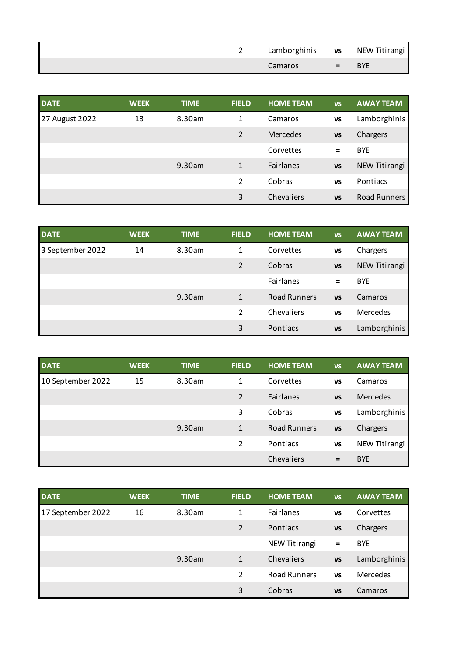|  | Lamborghinis vs NEW Titirangi |                   |            |
|--|-------------------------------|-------------------|------------|
|  | Camaros                       | $\equiv$ $\equiv$ | <b>BYE</b> |

| <b>DATE</b>    | <b>WEEK</b> | <b>TIME</b> | <b>FIELD</b>  | <b>HOME TEAM</b> | <b>VS</b> | <b>AWAY TEAM</b> |
|----------------|-------------|-------------|---------------|------------------|-----------|------------------|
| 27 August 2022 | 13          | 8.30am      | 1             | Camaros          | <b>VS</b> | Lamborghinis     |
|                |             |             | 2             | Mercedes         | <b>VS</b> | Chargers         |
|                |             |             |               | Corvettes        | Ξ         | <b>BYE</b>       |
|                |             | 9.30am      | $\mathbf{1}$  | Fairlanes        | <b>VS</b> | NEW Titirangi    |
|                |             |             | $\mathcal{P}$ | Cobras           | <b>VS</b> | Pontiacs         |
|                |             |             | 3             | Chevaliers       | <b>VS</b> | Road Runners     |

| <b>DATE</b>      | <b>WEEK</b> | <b>TIME</b> | <b>FIELD</b> | <b>HOME TEAM</b>    | <b>VS</b> | <b>AWAY TEAM</b> |
|------------------|-------------|-------------|--------------|---------------------|-----------|------------------|
| 3 September 2022 | 14          | 8.30am      | 1            | Corvettes           | <b>VS</b> | Chargers         |
|                  |             |             | 2            | Cobras              | <b>VS</b> | NEW Titirangi    |
|                  |             |             |              | Fairlanes           | $=$       | <b>BYE</b>       |
|                  |             | 9.30am      | 1            | <b>Road Runners</b> | <b>VS</b> | Camaros          |
|                  |             |             | 2            | Chevaliers          | <b>VS</b> | Mercedes         |
|                  |             |             | 3            | Pontiacs            | <b>VS</b> | Lamborghinis     |

| <b>DATE</b>       | <b>WEEK</b> | <b>TIME</b> | <b>FIELD</b> | <b>HOME TEAM</b>    | <b>VS</b> | <b>AWAY TEAM</b> |
|-------------------|-------------|-------------|--------------|---------------------|-----------|------------------|
| 10 September 2022 | 15          | 8.30am      | 1            | Corvettes           | <b>VS</b> | Camaros          |
|                   |             |             | 2            | Fairlanes           | <b>VS</b> | <b>Mercedes</b>  |
|                   |             |             | 3            | Cobras              | <b>VS</b> | Lamborghinis     |
|                   |             | 9.30am      | 1            | <b>Road Runners</b> | <b>VS</b> | Chargers         |
|                   |             |             | 2            | Pontiacs            | <b>VS</b> | NEW Titirangi    |
|                   |             |             |              | Chevaliers          | $=$       | <b>BYE</b>       |

| <b>DATE</b>       | <b>WEEK</b> | <b>TIME</b> | <b>FIELD</b>   | <b>HOME TEAM</b>    | <b>VS</b> | <b>AWAY TEAM</b> |
|-------------------|-------------|-------------|----------------|---------------------|-----------|------------------|
| 17 September 2022 | 16          | 8.30am      | 1              | Fairlanes           | VS        | Corvettes        |
|                   |             |             | 2              | Pontiacs            | <b>VS</b> | Chargers         |
|                   |             |             |                | NEW Titirangi       | $=$       | <b>BYE</b>       |
|                   |             | 9.30am      | $\mathbf{1}$   | Chevaliers          | <b>VS</b> | Lamborghinis     |
|                   |             |             | $\mathfrak{p}$ | <b>Road Runners</b> | VS        | Mercedes         |
|                   |             |             | 3              | Cobras              | <b>VS</b> | Camaros          |